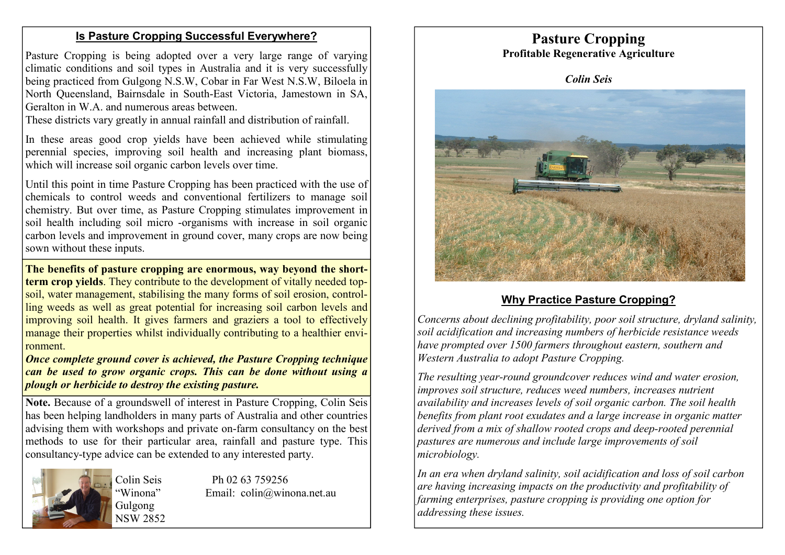### **Is Pasture Cropping Successful Everywhere?**

Pasture Cropping is being adopted over a very large range of varying climatic conditions and soil types in Australia and it is very successfully being practiced from Gulgong N.S.W, Cobar in Far West N.S.W, Biloela in North Queensland, Bairnsdale in South-East Victoria, Jamestown in SA, Geralton in W.A. and numerous areas between.

These districts vary greatly in annual rainfall and distribution of rainfall.

In these areas good crop yields have been achieved while stimulating perennial species, improving soil health and increasing plant biomass, which will increase soil organic carbon levels over time.

Until this point in time Pasture Cropping has been practiced with the use of chemicals to control weeds and conventional fertilizers to manage soil chemistry. But over time, as Pasture Cropping stimulates improvement in soil health including soil micro -organisms with increase in soil organic carbon levels and improvement in ground cover, many crops are now being sown without these inputs.

**The benefits of pasture cropping are enormous, way beyond the shortterm crop yields**. They contribute to the development of vitally needed topsoil, water management, stabilising the many forms of soil erosion, controlling weeds as well as great potential for increasing soil carbon levels and improving soil health. It gives farmers and graziers a tool to effectively manage their properties whilst individually contributing to a healthier environment.

*Once complete ground cover is achieved, the Pasture Cropping technique can be used to grow organic crops. This can be done without using a plough or herbicide to destroy the existing pasture.*

**Note.** Because of a groundswell of interest in Pasture Cropping, Colin Seis has been helping landholders in many parts of Australia and other countries advising them with workshops and private on-farm consultancy on the best methods to use for their particular area, rainfall and pasture type. This consultancy-type advice can be extended to any interested party.



Colin Seis Ph 02 63 759256 Winona" Email: colin@winona.net.au



**Pasture Cropping** 

#### **Why Practice Pasture Cropping?**

*Concerns about declining profitability, poor soil structure, dryland salinity, soil acidification and increasing numbers of herbicide resistance weeds have prompted over 1500 farmers throughout eastern, southern and Western Australia to adopt Pasture Cropping.* 

*The resulting year-round groundcover reduces wind and water erosion, improves soil structure, reduces weed numbers, increases nutrient availability and increases levels of soil organic carbon. The soil health benefits from plant root exudates and a large increase in organic matter derived from a mix of shallow rooted crops and deep-rooted perennial pastures are numerous and include large improvements of soil microbiology.* 

*In an era when dryland salinity, soil acidification and loss of soil carbon are having increasing impacts on the productivity and profitability of farming enterprises, pasture cropping is providing one option for addressing these issues.*